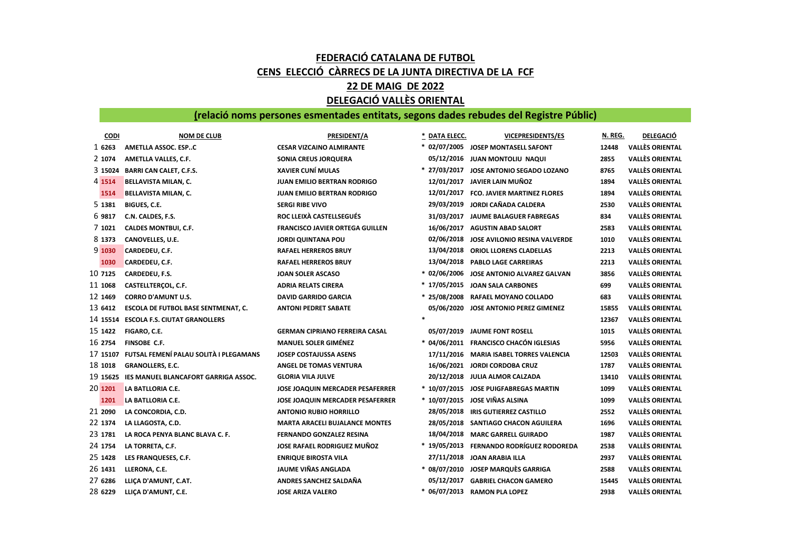## FEDERACIÓ CATALANA DE FUTBOL CENS ELECCIÓ CÀRRECS DE LA JUNTA DIRECTIVA DE LA FCF 22 DE MAIG DE 2022 DELEGACIÓ VALLÈS ORIENTAL

## (relació noms persones esmentades entitats, segons dades rebudes del Registre Públic)

| CODI     | <b>NOM DE CLUB</b>                         | PRESIDENT/A                            | * DATA ELECC. | <b>VICEPRESIDENTS/ES</b>                 | N. REG. | <b>DELEGACIÓ</b>       |
|----------|--------------------------------------------|----------------------------------------|---------------|------------------------------------------|---------|------------------------|
| 1 6263   | AMETLLA ASSOC. ESPC                        | <b>CESAR VIZCAINO ALMIRANTE</b>        |               | * 02/07/2005 JOSEP MONTASELL SAFONT      | 12448   | <b>VALLÈS ORIENTAL</b> |
| 2 1074   | AMETLLA VALLES, C.F.                       | SONIA CREUS JORQUERA                   |               | 05/12/2016 JUAN MONTOLIU NAQUI           | 2855    | <b>VALLÈS ORIENTAL</b> |
| 3 15024  | <b>BARRI CAN CALET, C.F.S.</b>             | <b>XAVIER CUNÍ MULAS</b>               |               | * 27/03/2017 JOSE ANTONIO SEGADO LOZANO  | 8765    | <b>VALLÈS ORIENTAL</b> |
| 4 1514   | <b>BELLAVISTA MILAN, C.</b>                | <b>JUAN EMILIO BERTRAN RODRIGO</b>     |               | 12/01/2017 JAVIER LAIN MUÑOZ             | 1894    | <b>VALLÈS ORIENTAL</b> |
| 1514     | <b>BELLAVISTA MILAN, C.</b>                | <b>JUAN EMILIO BERTRAN RODRIGO</b>     |               | 12/01/2017 FCO. JAVIER MARTINEZ FLORES   | 1894    | <b>VALLÈS ORIENTAL</b> |
| 5 1381   | BIGUES, C.E.                               | <b>SERGI RIBE VIVO</b>                 |               | 29/03/2019 JORDI CAÑADA CALDERA          | 2530    | <b>VALLÈS ORIENTAL</b> |
| 6 9817   | C.N. CALDES, F.S.                          | ROC LLEIXÀ CASTELLSEGUÉS               |               | 31/03/2017 JAUME BALAGUER FABREGAS       | 834     | <b>VALLÈS ORIENTAL</b> |
| 7 1021   | <b>CALDES MONTBUI, C.F.</b>                | <b>FRANCISCO JAVIER ORTEGA GUILLEN</b> |               | 16/06/2017 AGUSTIN ABAD SALORT           | 2583    | <b>VALLÈS ORIENTAL</b> |
| 8 1373   | CANOVELLES, U.E.                           | <b>JORDI QUINTANA POU</b>              |               | 02/06/2018 JOSE AVILONIO RESINA VALVERDE | 1010    | <b>VALLÈS ORIENTAL</b> |
| 91030    | CARDEDEU, C.F.                             | <b>RAFAEL HERREROS BRUY</b>            |               | 13/04/2018 ORIOL LLORENS CLADELLAS       | 2213    | <b>VALLÈS ORIENTAL</b> |
| 1030     | CARDEDEU, C.F.                             | <b>RAFAEL HERREROS BRUY</b>            |               | 13/04/2018 PABLO LAGE CARREIRAS          | 2213    | <b>VALLÈS ORIENTAL</b> |
| 10 7125  | CARDEDEU, F.S.                             | <b>JOAN SOLER ASCASO</b>               |               | * 02/06/2006 JOSE ANTONIO ALVAREZ GALVAN | 3856    | <b>VALLÈS ORIENTAL</b> |
| 11 1068  | CASTELLTERÇOL, C.F.                        | <b>ADRIA RELATS CIRERA</b>             |               | * 17/05/2015 JOAN SALA CARBONES          | 699     | <b>VALLÈS ORIENTAL</b> |
| 12 1469  | <b>CORRO D'AMUNT U.S.</b>                  | <b>DAVID GARRIDO GARCIA</b>            |               | * 25/08/2008 RAFAEL MOYANO COLLADO       | 683     | <b>VALLÈS ORIENTAL</b> |
| 13 6412  | <b>ESCOLA DE FUTBOL BASE SENTMENAT, C.</b> | <b>ANTONI PEDRET SABATE</b>            |               | 05/06/2020 JOSE ANTONIO PEREZ GIMENEZ    | 15855   | <b>VALLÈS ORIENTAL</b> |
|          | 14 15514 ESCOLA F.S. CIUTAT GRANOLLERS     |                                        |               |                                          | 12367   | <b>VALLÈS ORIENTAL</b> |
| 15 1422  | FIGARO, C.E.                               | <b>GERMAN CIPRIANO FERREIRA CASAL</b>  |               | 05/07/2019 JAUME FONT ROSELL             | 1015    | <b>VALLÈS ORIENTAL</b> |
| 16 2754  | <b>FINSOBE C.F.</b>                        | <b>MANUEL SOLER GIMÉNEZ</b>            |               | * 04/06/2011 FRANCISCO CHACÓN IGLESIAS   | 5956    | <b>VALLÈS ORIENTAL</b> |
| 17 15107 | FUTSAL FEMENÍ PALAU SOLITÀ I PLEGAMANS     | <b>JOSEP COSTAJUSSA ASENS</b>          |               | 17/11/2016 MARIA ISABEL TORRES VALENCIA  | 12503   | <b>VALLÈS ORIENTAL</b> |
| 18 1018  | <b>GRANOLLERS, E.C.</b>                    | ANGEL DE TOMAS VENTURA                 |               | 16/06/2021 JORDI CORDOBA CRUZ            | 1787    | <b>VALLÈS ORIENTAL</b> |
| 19 15625 | IES MANUEL BLANCAFORT GARRIGA ASSOC.       | <b>GLORIA VILA JULVE</b>               |               | 20/12/2018 JULIA ALMOR CALZADA           | 13410   | <b>VALLÈS ORIENTAL</b> |
| 20 1201  | LA BATLLORIA C.E.                          | JOSE JOAQUIN MERCADER PESAFERRER       |               | * 10/07/2015 JOSE PUIGFABREGAS MARTIN    | 1099    | <b>VALLÈS ORIENTAL</b> |
| 1201     | LA BATLLORIA C.E.                          | JOSE JOAQUIN MERCADER PESAFERRER       |               | * 10/07/2015 JOSE VIÑAS ALSINA           | 1099    | <b>VALLÈS ORIENTAL</b> |
| 21 2090  | LA CONCORDIA, C.D.                         | <b>ANTONIO RUBIO HORRILLO</b>          |               | 28/05/2018 IRIS GUTIERREZ CASTILLO       | 2552    | <b>VALLÈS ORIENTAL</b> |
| 22 1374  | LA LLAGOSTA, C.D.                          | <b>MARTA ARACELI BUJALANCE MONTES</b>  |               | 28/05/2018 SANTIAGO CHACON AGUILERA      | 1696    | <b>VALLÈS ORIENTAL</b> |
| 23 1781  | LA ROCA PENYA BLANC BLAVA C. F.            | <b>FERNANDO GONZALEZ RESINA</b>        |               | 18/04/2018 MARC GARRELL GUIRADO          | 1987    | <b>VALLÈS ORIENTAL</b> |
| 24 1754  | LA TORRETA, C.F.                           | JOSE RAFAEL RODRIGUEZ MUÑOZ            |               | * 19/05/2013 FERNANDO RODRÍGUEZ RODOREDA | 2538    | <b>VALLÈS ORIENTAL</b> |
| 25 1428  | LES FRANQUESES, C.F.                       | <b>ENRIQUE BIROSTA VILA</b>            |               | 27/11/2018 JOAN ARABIA ILLA              | 2937    | <b>VALLÈS ORIENTAL</b> |
| 26 1431  | LLERONA, C.E.                              | JAUME VIÑAS ANGLADA                    |               | * 08/07/2010 JOSEP MARQUÈS GARRIGA       | 2588    | <b>VALLÈS ORIENTAL</b> |
| 27 6286  | LLICA D'AMUNT, C.AT.                       | ANDRES SANCHEZ SALDAÑA                 |               | 05/12/2017 GABRIEL CHACON GAMERO         | 15445   | <b>VALLÈS ORIENTAL</b> |
| 28 6229  | LLICA D'AMUNT, C.E.                        | <b>JOSE ARIZA VALERO</b>               |               | * 06/07/2013 RAMON PLA LOPEZ             | 2938    | <b>VALLÈS ORIENTAL</b> |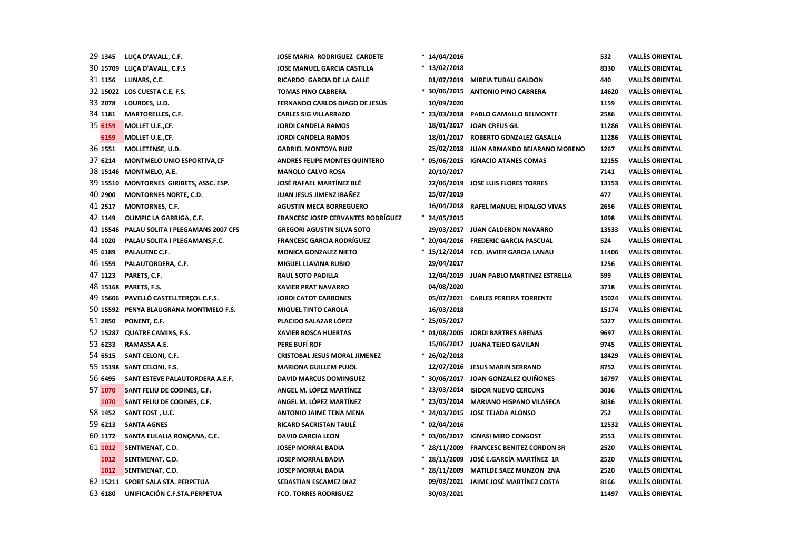| 29 1345 | LLIÇA D'AVALL, C.F.                        | <b>JOSE MARIA RODRIGUEZ CARDETE</b>       | $*14/04/2016$  |                                           | 532   | <b>VALLÈS ORIENTAL</b> |
|---------|--------------------------------------------|-------------------------------------------|----------------|-------------------------------------------|-------|------------------------|
|         | 30 15709 LLICA D'AVALL, C.F.S              | <b>JOSE MANUEL GARCIA CASTILLA</b>        | $* 13/02/2018$ |                                           | 8330  | <b>VALLÈS ORIENTAL</b> |
| 31 1156 | LLINARS, C.E.                              | RICARDO GARCIA DE LA CALLE                |                | 01/07/2019 MIREIA TUBAU GALDON            | 440   | <b>VALLÈS ORIENTAL</b> |
|         | 32 15022 LOS CUESTA C.E. F.S.              | <b>TOMAS PINO CABRERA</b>                 |                | * 30/06/2015 ANTONIO PINO CABRERA         | 14620 | <b>VALLÈS ORIENTAL</b> |
| 33 2078 | LOURDES, U.D.                              | FERNANDO CARLOS DIAGO DE JESÚS            | 10/09/2020     |                                           | 1159  | <b>VALLÈS ORIENTAL</b> |
| 34 1181 | MARTORELLES, C.F.                          | <b>CARLES SIG VILLARRAZO</b>              |                | * 23/03/2018 PABLO GAMALLO BELMONTE       | 2586  | <b>VALLÈS ORIENTAL</b> |
| 35 6159 | MOLLET U.E.,CF.                            | <b>JORDI CANDELA RAMOS</b>                |                | 18/01/2017 JOAN CREUS GIL                 | 11286 | <b>VALLÈS ORIENTAL</b> |
| 6159    | MOLLET U.E.,CF.                            | <b>JORDI CANDELA RAMOS</b>                |                | 18/01/2017 ROBERTO GONZALEZ GASALLA       | 11286 | <b>VALLÈS ORIENTAL</b> |
| 36 1551 | MOLLETENSE, U.D.                           | <b>GABRIEL MONTOYA RUIZ</b>               |                | 25/02/2018 JUAN ARMANDO BEJARANO MORENO   | 1267  | <b>VALLÈS ORIENTAL</b> |
| 37 6214 | MONTMELO UNIO ESPORTIVA, CF                | <b>ANDRES FELIPE MONTES QUINTERO</b>      |                | * 05/06/2015 IGNACIO ATANES COMAS         | 12155 | <b>VALLÈS ORIENTAL</b> |
|         | 38 15146 MONTMELO, A.E.                    | <b>MANOLO CALVO ROSA</b>                  | 20/10/2017     |                                           | 7141  | <b>VALLÈS ORIENTAL</b> |
|         | 39 15510 MONTORNES GIRIBETS, ASSC. ESP.    | <b>JOSÉ RAFAEL MARTÍNEZ BLÉ</b>           |                | 22/06/2019 JOSE LUIS FLORES TORRES        | 13153 | <b>VALLÈS ORIENTAL</b> |
| 40 2900 | <b>MONTORNES NORTE, C.D.</b>               | JUAN JESUS JIMENZ IBAÑEZ                  | 25/07/2019     |                                           | 477   | <b>VALLÈS ORIENTAL</b> |
| 41 2517 | <b>MONTORNES, C.F.</b>                     | <b>AGUSTIN MECA BORREGUERO</b>            |                | 16/04/2018 RAFEL MANUEL HIDALGO VIVAS     | 2656  | <b>VALLÈS ORIENTAL</b> |
| 42 1149 | OLIMPIC LA GARRIGA, C.F.                   | <b>FRANCESC JOSEP CERVANTES RODRÍGUEZ</b> | $* 24/05/2015$ |                                           | 1098  | <b>VALLÈS ORIENTAL</b> |
|         | 43 15546 PALAU SOLITA I PLEGAMANS 2007 CFS | <b>GREGORI AGUSTIN SILVA SOTO</b>         |                | 29/03/2017 JUAN CALDERON NAVARRO          | 13533 | <b>VALLÈS ORIENTAL</b> |
| 44 1020 | PALAU SOLITA I PLEGAMANS, F.C.             | <b>FRANCESC GARCIA RODRÍGUEZ</b>          |                | * 20/04/2016 FREDERIC GARCIA PASCUAL      | 524   | <b>VALLÈS ORIENTAL</b> |
| 45 6189 | PALAUENC C.F.                              | <b>MONICA GONZALEZ NIETO</b>              |                | * 15/12/2014 FCO. JAVIER GARCIA LANAU     | 11406 | <b>VALLÈS ORIENTAL</b> |
| 46 1559 | PALAUTORDERA, C.F.                         | <b>MIGUEL LLAVINA RUBIO</b>               | 29/04/2017     |                                           | 1256  | <b>VALLÈS ORIENTAL</b> |
| 47 1123 | PARETS, C.F.                               | <b>RAUL SOTO PADILLA</b>                  |                | 12/04/2019 JUAN PABLO MARTINEZ ESTRELLA   | 599   | <b>VALLÈS ORIENTAL</b> |
|         | 48 15168 PARETS, F.S.                      | <b>XAVIER PRAT NAVARRO</b>                | 04/08/2020     |                                           | 3718  | <b>VALLÈS ORIENTAL</b> |
|         | 49 15606 PAVELLÓ CASTELLTERÇOL C.F.S.      | <b>JORDI CATOT CARBONES</b>               |                | 05/07/2021 CARLES PEREIRA TORRENTE        | 15024 | <b>VALLÈS ORIENTAL</b> |
|         | 50 15592 PENYA BLAUGRANA MONTMELO F.S.     | <b>MIQUEL TINTO CAROLA</b>                | 16/03/2018     |                                           | 15174 | <b>VALLÈS ORIENTAL</b> |
| 51 2850 | PONENT, C.F.                               | PLACIDO SALAZAR LÓPEZ                     | $* 25/05/2017$ |                                           | 5327  | <b>VALLÈS ORIENTAL</b> |
|         | 52 15287 QUATRE CAMINS, F.S.               | <b>XAVIER BOSCA HUERTAS</b>               |                | * 01/08/2005 JORDI BARTRES ARENAS         | 9697  | <b>VALLÈS ORIENTAL</b> |
| 53 6233 | RAMASSA A.E.                               | PERE BUFÍ ROF                             |                | 15/06/2017 JUANA TEJEO GAVILAN            | 9745  | <b>VALLÈS ORIENTAL</b> |
| 54 6515 | SANT CELONI, C.F.                          | <b>CRISTOBAL JESUS MORAL JIMENEZ</b>      | * 26/02/2018   |                                           | 18429 | <b>VALLÈS ORIENTAL</b> |
|         | 55 15198 SANT CELONI, F.S.                 | <b>MARIONA GUILLEM PUJOL</b>              |                | 12/07/2016 JESUS MARIN SERRANO            | 8752  | <b>VALLÈS ORIENTAL</b> |
| 56 6495 | SANT ESTEVE PALAUTORDERA A.E.F.            | <b>DAVID MARCUS DOMINGUEZ</b>             |                | * 30/06/2017 JOAN GONZALEZ QUIÑONES       | 16797 | <b>VALLÈS ORIENTAL</b> |
| 57 1070 | SANT FELIU DE CODINES, C.F.                | ANGEL M. LÓPEZ MARTÍNEZ                   |                | * 23/03/2014 ISIDOR NUEVO CERCUNS         | 3036  | <b>VALLÈS ORIENTAL</b> |
| 1070    | SANT FELIU DE CODINES, C.F.                | ANGEL M. LÓPEZ MARTÍNEZ                   |                | * 23/03/2014 MARIANO HISPANO VILASECA     | 3036  | <b>VALLÈS ORIENTAL</b> |
| 58 1452 | SANT FOST, U.E.                            | <b>ANTONIO JAIME TENA MENA</b>            |                | * 24/03/2015 JOSE TEJADA ALONSO           | 752   | <b>VALLÈS ORIENTAL</b> |
| 59 6213 | <b>SANTA AGNES</b>                         | RICARD SACRISTAN TAULÉ                    | * 02/04/2016   |                                           | 12532 | <b>VALLÈS ORIENTAL</b> |
| 60 1172 | SANTA EULALIA RONÇANA, C.E.                | <b>DAVID GARCIA LEON</b>                  |                | * 03/06/2017 IGNASI MIRO CONGOST          | 2553  | <b>VALLÈS ORIENTAL</b> |
| 61 1012 | SENTMENAT, C.D.                            | <b>JOSEP MORRAL BADIA</b>                 |                | * 28/11/2009 FRANCESC BENITEZ CORDON 3R   | 2520  | <b>VALLÈS ORIENTAL</b> |
| 1012    | SENTMENAT, C.D.                            | <b>JOSEP MORRAL BADIA</b>                 |                | * 28/11/2009   JOSÉ E.GARCÍA MARTÍNEZ  1R | 2520  | <b>VALLÈS ORIENTAL</b> |
| 1012    | SENTMENAT, C.D.                            | <b>JOSEP MORRAL BADIA</b>                 |                | * 28/11/2009 MATILDE SAEZ MUNZON 2NA      | 2520  | <b>VALLÈS ORIENTAL</b> |
|         | 62 15211 SPORT SALA STA. PERPETUA          | <b>SEBASTIAN ESCAMEZ DIAZ</b>             |                | 09/03/2021 JAIME JOSÉ MARTÍNEZ COSTA      | 8166  | <b>VALLÈS ORIENTAL</b> |
| 63 6180 | UNIFICACIÓN C.F.STA.PERPETUA               | <b>FCO. TORRES RODRIGUEZ</b>              | 30/03/2021     |                                           | 11497 | <b>VALLÈS ORIENTAL</b> |